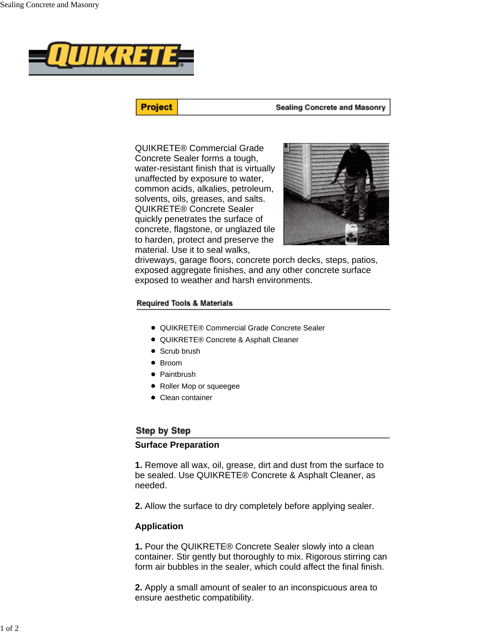

**Project** 

#### **Sealing Concrete and Masonry**

QUIKRETE® Commercial Grade Concrete Sealer forms a tough, water-resistant finish that is virtually unaffected by exposure to water, common acids, alkalies, petroleum, solvents, oils, greases, and salts. QUIKRETE® Concrete Sealer quickly penetrates the surface of concrete, flagstone, or unglazed tile to harden, protect and preserve the material. Use it to seal walks,



driveways, garage floors, concrete porch decks, steps, patios, exposed aggregate finishes, and any other concrete surface exposed to weather and harsh environments.

#### **Required Tools & Materials**

- QUIKRETE® Commercial Grade Concrete Sealer
- QUIKRETE® Concrete & Asphalt Cleaner
- Scrub brush
- Broom
- Paintbrush
- Roller Mop or squeegee
- Clean container

## Step by Step

# **Surface Preparation**

**1.** Remove all wax, oil, grease, dirt and dust from the surface to be sealed. Use QUIKRETE® Concrete & Asphalt Cleaner, as needed.

**2.** Allow the surface to dry completely before applying sealer.

#### **Application**

**1.** Pour the QUIKRETE® Concrete Sealer slowly into a clean container. Stir gently but thoroughly to mix. Rigorous stirring can form air bubbles in the sealer, which could affect the final finish.

**2.** Apply a small amount of sealer to an inconspicuous area to ensure aesthetic compatibility.